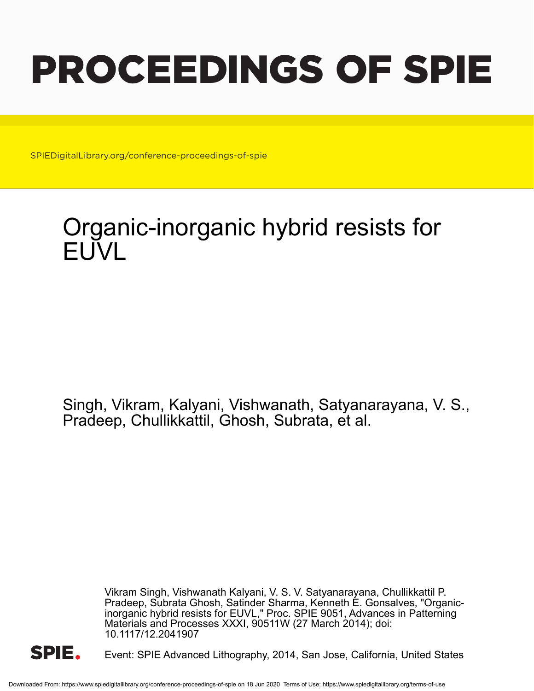# PROCEEDINGS OF SPIE

SPIEDigitalLibrary.org/conference-proceedings-of-spie

## Organic-inorganic hybrid resists for FUVL

Singh, Vikram, Kalyani, Vishwanath, Satyanarayana, V. S., Pradeep, Chullikkattil, Ghosh, Subrata, et al.

> Vikram Singh, Vishwanath Kalyani, V. S. V. Satyanarayana, Chullikkattil P. Pradeep, Subrata Ghosh, Satinder Sharma, Kenneth E. Gonsalves, "Organicinorganic hybrid resists for EUVL," Proc. SPIE 9051, Advances in Patterning Materials and Processes XXXI, 90511W (27 March 2014); doi: 10.1117/12.2041907



Event: SPIE Advanced Lithography, 2014, San Jose, California, United States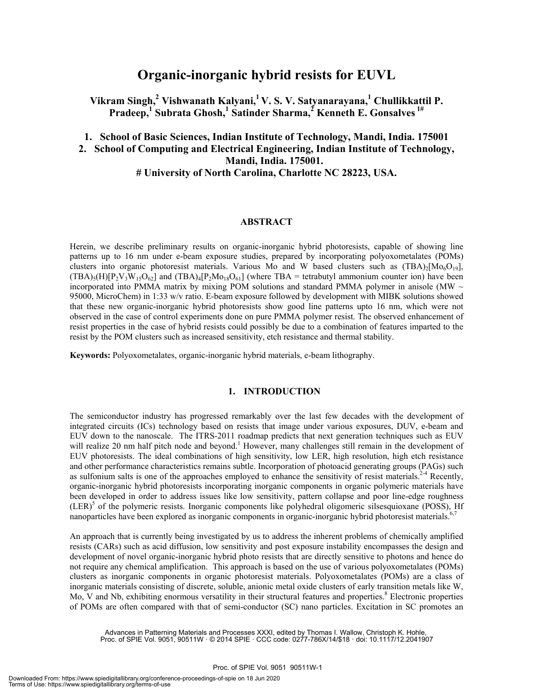### **Organic-inorganic hybrid resists for EUVL**

Vikram Singh,<sup>2</sup> Vishwanath Kalyani,<sup>1</sup> V. S. V. Satyanarayana,<sup>1</sup> Chullikkattil P. **Pradeep,1 Subrata Ghosh,<sup>1</sup> Satinder Sharma,2 Kenneth E. Gonsalves 1#**

**1. School of Basic Sciences, Indian Institute of Technology, Mandi, India. 175001** 

**2. School of Computing and Electrical Engineering, Indian Institute of Technology, Mandi, India. 175001.** 

#### **# University of North Carolina, Charlotte NC 28223, USA.**

#### **ABSTRACT**

Herein, we describe preliminary results on organic-inorganic hybrid photoresists, capable of showing line patterns up to 16 nm under e-beam exposure studies, prepared by incorporating polyoxometalates (POMs) clusters into organic photoresist materials. Various Mo and W based clusters such as  $(TBA)_{2}[Mo_{0}O_{19}]$ ,  $(TBA)_{5}(H)[P_{2}V_{3}W_{15}O_{62}]$  and  $(TBA)_{4}[P_{2}Mo_{18}O_{61}]$  (where TBA = tetrabutyl ammonium counter ion) have been incorporated into PMMA matrix by mixing POM solutions and standard PMMA polymer in anisole (MW  $\sim$ 95000, MicroChem) in 1:33 w/v ratio. E-beam exposure followed by development with MIBK solutions showed that these new organic-inorganic hybrid photoresists show good line patterns upto 16 nm, which were not observed in the case of control experiments done on pure PMMA polymer resist. The observed enhancement of resist properties in the case of hybrid resists could possibly be due to a combination of features imparted to the resist by the POM clusters such as increased sensitivity, etch resistance and thermal stability.

**Keywords:** Polyoxometalates, organic-inorganic hybrid materials, e-beam lithography.

#### **1. INTRODUCTION**

The semiconductor industry has progressed remarkably over the last few decades with the development of integrated circuits (ICs) technology based on resists that image under various exposures, DUV, e-beam and EUV down to the nanoscale. The ITRS-2011 roadmap predicts that next generation techniques such as EUV will realize 20 nm half pitch node and beyond.<sup>1</sup> However, many challenges still remain in the development of EUV photoresists. The ideal combinations of high sensitivity, low LER, high resolution, high etch resistance and other performance characteristics remains subtle. Incorporation of photoacid generating groups (PAGs) such as sulfonium salts is one of the approaches employed to enhance the sensitivity of resist materials.<sup>2-4</sup> Recently, organic-inorganic hybrid photoresists incorporating inorganic components in organic polymeric materials have been developed in order to address issues like low sensitivity, pattern collapse and poor line-edge roughness (LER)<sup>5</sup> of the polymeric resists. Inorganic components like polyhedral oligomeric silsesquioxane (POSS), Hf nanoparticles have been explored as inorganic components in organic-inorganic hybrid photoresist materials.<sup>6</sup>

An approach that is currently being investigated by us to address the inherent problems of chemically amplified resists (CARs) such as acid diffusion, low sensitivity and post exposure instability encompasses the design and development of novel organic-inorganic hybrid photo resists that are directly sensitive to photons and hence do not require any chemical amplification. This approach is based on the use of various polyoxometalates (POMs) clusters as inorganic components in organic photoresist materials. Polyoxometalates (POMs) are a class of inorganic materials consisting of discrete, soluble, anionic metal oxide clusters of early transition metals like W, Mo, V and Nb, exhibiting enormous versatility in their structural features and properties.<sup>8</sup> Electronic properties of POMs are often compared with that of semi-conductor (SC) nano particles. Excitation in SC promotes an

Advances in Patterning Materials and Processes XXXI, edited by Thomas I. Wallow, Christoph K. Hohle, Proc. of SPIE Vol. 9051, 90511W · © 2014 SPIE · CCC code: 0277-786X/14/\$18 · doi: 10.1117/12.2041907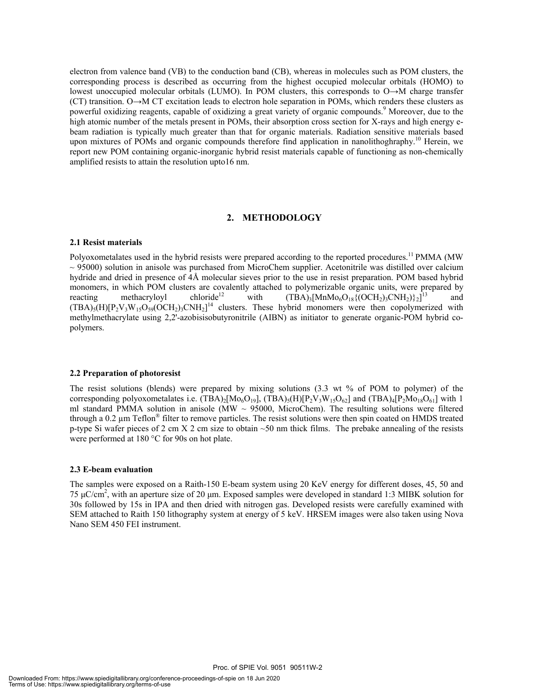electron from valence band (VB) to the conduction band (CB), whereas in molecules such as POM clusters, the corresponding process is described as occurring from the highest occupied molecular orbitals (HOMO) to lowest unoccupied molecular orbitals (LUMO). In POM clusters, this corresponds to O→M charge transfer (CT) transition. O→M CT excitation leads to electron hole separation in POMs, which renders these clusters as powerful oxidizing reagents, capable of oxidizing a great variety of organic compounds.<sup>9</sup> Moreover, due to the high atomic number of the metals present in POMs, their absorption cross section for X-rays and high energy ebeam radiation is typically much greater than that for organic materials. Radiation sensitive materials based upon mixtures of POMs and organic compounds therefore find application in nanolithoghraphy.<sup>10</sup> Herein, we report new POM containing organic-inorganic hybrid resist materials capable of functioning as non-chemically amplified resists to attain the resolution upto16 nm.

#### **2. METHODOLOGY**

#### **2.1 Resist materials**

Polyoxometalates used in the hybrid resists were prepared according to the reported procedures.<sup>11</sup> PMMA (MW  $\sim$  95000) solution in anisole was purchased from MicroChem supplier. Acetonitrile was distilled over calcium hydride and dried in presence of 4Å molecular sieves prior to the use in resist preparation. POM based hybrid monomers, in which POM clusters are covalently attached to polymerizable organic units, were prepared by reacting methacrylovl chloride<sup>12</sup> with  $(TBA)_1$ [MnMo<sub>6</sub>O<sub>18</sub>}(OCH<sub>2</sub>)<sub>3</sub>CNH<sub>2</sub>)} $z^{1}$ ] and reacting methacryloyl chloride<sup>12</sup> with  $(TBA)_3[MnMo<sub>6</sub>O<sub>18</sub>{(OCH<sub>2</sub>)<sub>3</sub>CNH<sub>2</sub>}]<sup>1</sup>$ and  $(TBA)_{5}(H)[P_{2}V_{3}W_{15}O_{59}(OCH_{2})_{3}CNH_{2}]^{14}$  clusters. These hybrid monomers were then copolymerized with methylmethacrylate using 2,2'-azobisisobutyronitrile (AIBN) as initiator to generate organic-POM hybrid copolymers.

#### **2.2 Preparation of photoresist**

The resist solutions (blends) were prepared by mixing solutions (3.3 wt % of POM to polymer) of the corresponding polyoxometalates i.e. (TBA)<sub>2</sub>[Mo<sub>6</sub>O<sub>19</sub>], (TBA)<sub>5</sub>(H)[P<sub>2</sub>V<sub>3</sub>W<sub>15</sub>O<sub>62</sub>] and (TBA)<sub>4</sub>[P<sub>2</sub>Mo<sub>18</sub>O<sub>61</sub>] with 1 ml standard PMMA solution in anisole (MW  $\sim$  95000, MicroChem). The resulting solutions were filtered through a 0.2 µm Teflon® filter to remove particles. The resist solutions were then spin coated on HMDS treated p-type Si wafer pieces of 2 cm X 2 cm size to obtain  $\sim$  50 nm thick films. The prebake annealing of the resists were performed at 180 °C for 90s on hot plate.

#### **2.3 E-beam evaluation**

The samples were exposed on a Raith-150 E-beam system using 20 KeV energy for different doses, 45, 50 and 75 μC/cm2 , with an aperture size of 20 μm. Exposed samples were developed in standard 1:3 MIBK solution for 30s followed by 15s in IPA and then dried with nitrogen gas. Developed resists were carefully examined with SEM attached to Raith 150 lithography system at energy of 5 keV. HRSEM images were also taken using Nova Nano SEM 450 FEI instrument.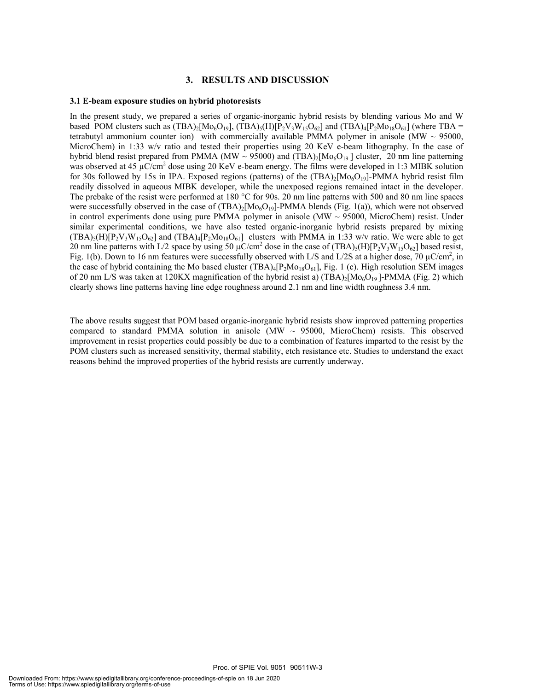#### **3. RESULTS AND DISCUSSION**

#### **3.1 E-beam exposure studies on hybrid photoresists**

In the present study, we prepared a series of organic-inorganic hybrid resists by blending various Mo and W based POM clusters such as  $(TBA)_2[Mo_6O_{19}]$ ,  $(TBA)_5(H)[P_2V_3W_{15}O_{62}]$  and  $(TBA)_4[P_2Mo_{18}O_{61}]$  (where TBA = tetrabutyl ammonium counter ion) with commercially available PMMA polymer in anisole (MW  $\sim$  95000, MicroChem) in 1:33 w/v ratio and tested their properties using 20 KeV e-beam lithography. In the case of hybrid blend resist prepared from PMMA (MW ~ 95000) and (TBA)<sub>2</sub>[Mo<sub>6</sub>O<sub>19</sub>] cluster, 20 nm line patterning was observed at 45  $\mu$ C/cm<sup>2</sup> dose using 20 KeV e-beam energy. The films were developed in 1:3 MIBK solution for 30s followed by 15s in IPA. Exposed regions (patterns) of the  $(TBA)_2[M_0O_{19}]$ -PMMA hybrid resist film readily dissolved in aqueous MIBK developer, while the unexposed regions remained intact in the developer. The prebake of the resist were performed at 180 °C for 90s. 20 nm line patterns with 500 and 80 nm line spaces were successfully observed in the case of  $(TBA)_2[Mo_6O_{19}]$ -PMMA blends (Fig. 1(a)), which were not observed in control experiments done using pure PMMA polymer in anisole ( $\text{MW} \sim 95000$ , MicroChem) resist. Under similar experimental conditions, we have also tested organic-inorganic hybrid resists prepared by mixing  $(TBA)_{5}(H)[P_{2}V_{3}W_{15}O_{62}]$  and  $(TBA)_{4}[P_{2}Mo_{18}O_{61}]$  clusters with PMMA in 1:33 w/v ratio. We were able to get 20 nm line patterns with L/2 space by using 50  $\mu$ C/cm<sup>2</sup> dose in the case of  $(TBA)_5(H)[P_2V_3W_{15}O_{62}]$  based resist, Fig. 1(b). Down to 16 nm features were successfully observed with L/S and L/2S at a higher dose, 70  $\mu$ C/cm<sup>2</sup>, in the case of hybrid containing the Mo based cluster  $(TBA)_4[P_2Mo_{18}O_{61}]$ , Fig. 1 (c). High resolution SEM images of 20 nm L/S was taken at 120KX magnification of the hybrid resist a)  $(TBA)_2[Mo_6O_{19}]$ -PMMA (Fig. 2) which clearly shows line patterns having line edge roughness around 2.1 nm and line width roughness 3.4 nm.

The above results suggest that POM based organic-inorganic hybrid resists show improved patterning properties compared to standard PMMA solution in anisole (MW  $\sim$  95000, MicroChem) resists. This observed improvement in resist properties could possibly be due to a combination of features imparted to the resist by the POM clusters such as increased sensitivity, thermal stability, etch resistance etc. Studies to understand the exact reasons behind the improved properties of the hybrid resists are currently underway.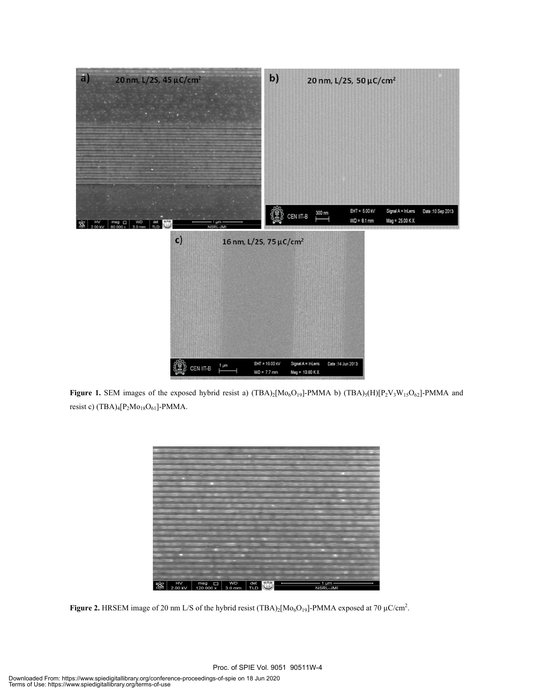

**Figure 1.** SEM images of the exposed hybrid resist a)  $(TBA)_2[M\omega_6O_{19}]$ -PMMA b)  $(TBA)_5(H)[P_2V_3W_{15}O_{62}]$ -PMMA and resist c)  $(TBA)_{4}[P_{2}Mo_{18}O_{61}]$ -PMMA.



**Figure 2.** HRSEM image of 20 nm L/S of the hybrid resist  $(TBA)_2[Mo_6O_{19}]$ -PMMA exposed at 70  $\mu$ C/cm<sup>2</sup>.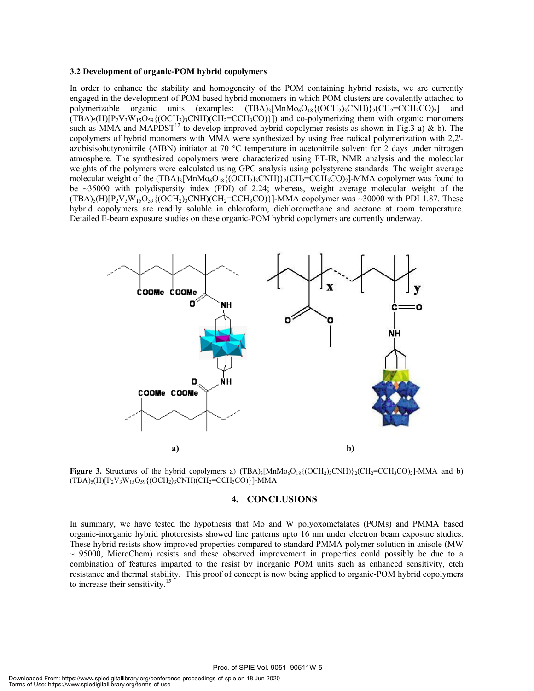#### **3.2 Development of organic-POM hybrid copolymers**

In order to enhance the stability and homogeneity of the POM containing hybrid resists, we are currently engaged in the development of POM based hybrid monomers in which POM clusters are covalently attached to polymerizable organic units (examples:  $(TBA)_3[MnMo<sub>6</sub>O<sub>18</sub>{(OCH<sub>2</sub>)<sub>3</sub>CNH}\rbrace<sub>2</sub>(CH<sub>2</sub>=CCH<sub>3</sub>CO)<sub>2</sub>]$  and  $(TBA)_{5}(H)[P_{2}V_{3}W_{15}O_{59}\{(OCH_{2})_{3}CNH)(CH_{2}=CCH_{3}CO)\}]$  and co-polymerizing them with organic monomers such as MMA and MAPDST<sup>12</sup> to develop improved hybrid copolymer resists as shown in Fig.3 a) & b). The copolymers of hybrid monomers with MMA were synthesized by using free radical polymerization with 2,2' azobisisobutyronitrile (AIBN) initiator at 70 °C temperature in acetonitrile solvent for 2 days under nitrogen atmosphere. The synthesized copolymers were characterized using FT-IR, NMR analysis and the molecular weights of the polymers were calculated using GPC analysis using polystyrene standards. The weight average molecular weight of the  $(TBA)_3[MnMo<sub>6</sub>O<sub>18</sub>{(OCH<sub>2</sub>)<sub>3</sub>CNH}\$ <sub>2</sub>( $CH<sub>2</sub>=CCH<sub>3</sub>CO<sub>2</sub>$ ]-MMA copolymer was found to be ~35000 with polydispersity index (PDI) of 2.24; whereas, weight average molecular weight of the  $(TBA)_{5}(H)[P_{2}V_{3}W_{15}O_{59}\{(OCH_{2})_{3}CNH)(CH_{2}=CCH_{3}CO)\}$ ]-MMA copolymer was ~30000 with PDI 1.87. These hybrid copolymers are readily soluble in chloroform, dichloromethane and acetone at room temperature. Detailed E-beam exposure studies on these organic-POM hybrid copolymers are currently underway.



**Figure 3.** Structures of the hybrid copolymers a)  $(TBA)_3$ [MnMo<sub>6</sub>O<sub>18</sub>{(OCH<sub>2</sub>)<sub>3</sub>CNH)}<sub>2</sub>(CH<sub>2</sub>=CCH<sub>3</sub>CO)<sub>2</sub>]-MMA and b)  $(TBA)_{5}(H)[P_{2}V_{3}W_{15}O_{59}\{ (OCH_{2})_{3}CNH)(CH_{2}= CCH_{3}CO)\} ]-MMA$ 

#### **4. CONCLUSIONS**

In summary, we have tested the hypothesis that Mo and W polyoxometalates (POMs) and PMMA based organic-inorganic hybrid photoresists showed line patterns upto 16 nm under electron beam exposure studies. These hybrid resists show improved properties compared to standard PMMA polymer solution in anisole (MW  $\sim$  95000, MicroChem) resists and these observed improvement in properties could possibly be due to a combination of features imparted to the resist by inorganic POM units such as enhanced sensitivity, etch resistance and thermal stability. This proof of concept is now being applied to organic-POM hybrid copolymers to increase their sensitivity.<sup>15</sup>

Proc. of SPIE Vol. 9051 90511W-5